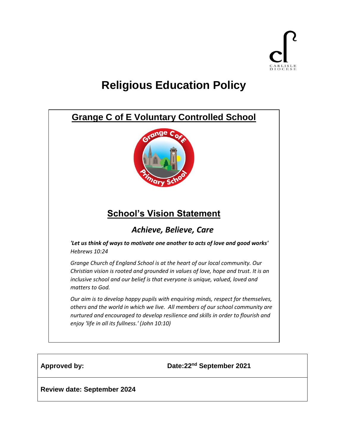

# **Religious Education Policy**



**Approved by: Date:22nd September 2021**

**Review date: September 2024**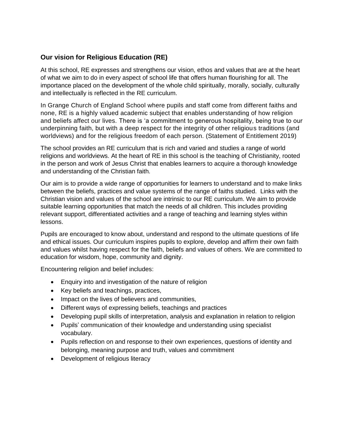# **Our vision for Religious Education (RE)**

At this school, RE expresses and strengthens our vision, ethos and values that are at the heart of what we aim to do in every aspect of school life that offers human flourishing for all. The importance placed on the development of the whole child spiritually, morally, socially, culturally and intellectually is reflected in the RE curriculum.

In Grange Church of England School where pupils and staff come from different faiths and none, RE is a highly valued academic subject that enables understanding of how religion and beliefs affect our lives. There is 'a commitment to generous hospitality, being true to our underpinning faith, but with a deep respect for the integrity of other religious traditions (and worldviews) and for the religious freedom of each person. (Statement of Entitlement 2019)

The school provides an RE curriculum that is rich and varied and studies a range of world religions and worldviews. At the heart of RE in this school is the teaching of Christianity, rooted in the person and work of Jesus Christ that enables learners to acquire a thorough knowledge and understanding of the Christian faith.

Our aim is to provide a wide range of opportunities for learners to understand and to make links between the beliefs, practices and value systems of the range of faiths studied. Links with the Christian vision and values of the school are intrinsic to our RE curriculum. We aim to provide suitable learning opportunities that match the needs of all children. This includes providing relevant support, differentiated activities and a range of teaching and learning styles within lessons.

Pupils are encouraged to know about, understand and respond to the ultimate questions of life and ethical issues. Our curriculum inspires pupils to explore, develop and affirm their own faith and values whilst having respect for the faith, beliefs and values of others. We are committed to education for wisdom, hope, community and dignity.

Encountering religion and belief includes:

- Enquiry into and investigation of the nature of religion
- Key beliefs and teachings, practices,
- Impact on the lives of believers and communities,
- Different ways of expressing beliefs, teachings and practices
- Developing pupil skills of interpretation, analysis and explanation in relation to religion
- Pupils' communication of their knowledge and understanding using specialist vocabulary.
- Pupils reflection on and response to their own experiences, questions of identity and belonging, meaning purpose and truth, values and commitment
- Development of religious literacy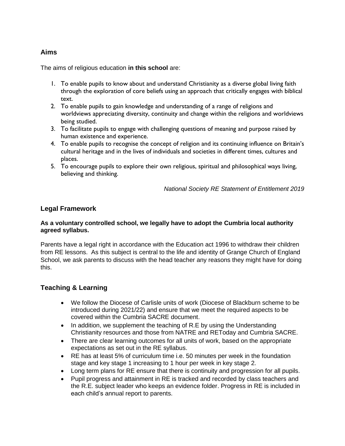# **Aims**

The aims of religious education **in this school** are:

- 1. To enable pupils to know about and understand Christianity as a diverse global living faith through the exploration of core beliefs using an approach that critically engages with biblical text.
- 2. To enable pupils to gain knowledge and understanding of a range of religions and worldviews appreciating diversity, continuity and change within the religions and worldviews being studied.
- 3. To facilitate pupils to engage with challenging questions of meaning and purpose raised by human existence and experience.
- 4. To enable pupils to recognise the concept of religion and its continuing influence on Britain's cultural heritage and in the lives of individuals and societies in different times, cultures and places.
- 5. To encourage pupils to explore their own religious, spiritual and philosophical ways living, believing and thinking.

*National Society RE Statement of Entitlement 2019*

## **Legal Framework**

#### **As a voluntary controlled school, we legally have to adopt the Cumbria local authority agreed syllabus.**

Parents have a legal right in accordance with the Education act 1996 to withdraw their children from RE lessons. As this subject is central to the life and identity of Grange Church of England School, we ask parents to discuss with the head teacher any reasons they might have for doing this.

## **Teaching & Learning**

- We follow the Diocese of Carlisle units of work (Diocese of Blackburn scheme to be introduced during 2021/22) and ensure that we meet the required aspects to be covered within the Cumbria SACRE document.
- In addition, we supplement the teaching of R.E by using the Understanding Christianity resources and those from NATRE and REToday and Cumbria SACRE.
- There are clear learning outcomes for all units of work, based on the appropriate expectations as set out in the RE syllabus.
- RE has at least 5% of curriculum time i.e. 50 minutes per week in the foundation stage and key stage 1 increasing to 1 hour per week in key stage 2.
- Long term plans for RE ensure that there is continuity and progression for all pupils.
- Pupil progress and attainment in RE is tracked and recorded by class teachers and the R.E. subject leader who keeps an evidence folder. Progress in RE is included in each child's annual report to parents.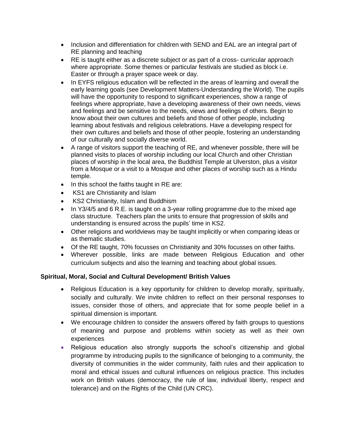- Inclusion and differentiation for children with SEND and EAL are an integral part of RE planning and teaching
- RE is taught either as a discrete subject or as part of a cross- curricular approach where appropriate. Some themes or particular festivals are studied as block i.e. Easter or through a prayer space week or day.
- In EYFS religious education will be reflected in the areas of learning and overall the early learning goals (see Development Matters-Understanding the World). The pupils will have the opportunity to respond to significant experiences, show a range of feelings where appropriate, have a developing awareness of their own needs, views and feelings and be sensitive to the needs, views and feelings of others. Begin to know about their own cultures and beliefs and those of other people, including learning about festivals and religious celebrations. Have a developing respect for their own cultures and beliefs and those of other people, fostering an understanding of our culturally and socially diverse world.
- A range of visitors support the teaching of RE, and whenever possible, there will be planned visits to places of worship including our local Church and other Christian places of worship in the local area, the Buddhist Temple at Ulverston, plus a visitor from a Mosque or a visit to a Mosque and other places of worship such as a Hindu temple.
- In this school the faiths taught in RE are:
- KS1 are Christianity and Islam
- KS2 Christianity, Islam and Buddhism
- In Y3/4/5 and 6 R.E. is taught on a 3-year rolling programme due to the mixed age class structure. Teachers plan the units to ensure that progression of skills and understanding is ensured across the pupils' time in KS2.
- Other religions and worldviews may be taught implicitly or when comparing ideas or as thematic studies.
- Of the RE taught, 70% focusses on Christianity and 30% focusses on other faiths.
- Wherever possible, links are made between Religious Education and other curriculum subjects and also the learning and teaching about global issues.

#### **Spiritual, Moral, Social and Cultural Development/ British Values**

- Religious Education is a key opportunity for children to develop morally, spiritually, socially and culturally. We invite children to reflect on their personal responses to issues, consider those of others, and appreciate that for some people belief in a spiritual dimension is important.
- We encourage children to consider the answers offered by faith groups to questions of meaning and purpose and problems within society as well as their own experiences
- Religious education also strongly supports the school's citizenship and global programme by introducing pupils to the significance of belonging to a community, the diversity of communities in the wider community, faith rules and their application to moral and ethical issues and cultural influences on religious practice. This includes work on British values (democracy, the rule of law, individual liberty, respect and tolerance) and on the Rights of the Child (UN CRC).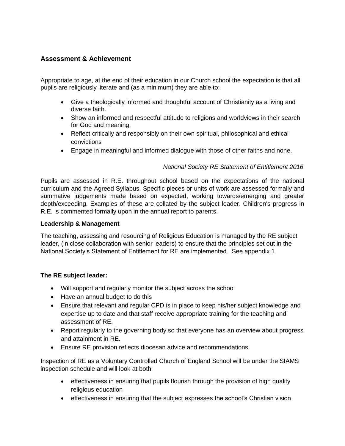# **Assessment & Achievement**

Appropriate to age, at the end of their education in our Church school the expectation is that all pupils are religiously literate and (as a minimum) they are able to:

- Give a theologically informed and thoughtful account of Christianity as a living and diverse faith.
- Show an informed and respectful attitude to religions and worldviews in their search for God and meaning.
- Reflect critically and responsibly on their own spiritual, philosophical and ethical convictions
- Engage in meaningful and informed dialogue with those of other faiths and none.

## *National Society RE Statement of Entitlement 2016*

Pupils are assessed in R.E. throughout school based on the expectations of the national curriculum and the Agreed Syllabus. Specific pieces or units of work are assessed formally and summative judgements made based on expected, working towards/emerging and greater depth/exceeding. Examples of these are collated by the subject leader. Children's progress in R.E. is commented formally upon in the annual report to parents.

#### **Leadership & Management**

The teaching, assessing and resourcing of Religious Education is managed by the RE subject leader, (in close collaboration with senior leaders) to ensure that the principles set out in the National Society's Statement of Entitlement for RE are implemented. See appendix 1

#### **The RE subject leader:**

- Will support and regularly monitor the subject across the school
- Have an annual budget to do this
- Ensure that relevant and regular CPD is in place to keep his/her subject knowledge and expertise up to date and that staff receive appropriate training for the teaching and assessment of RE.
- Report regularly to the governing body so that everyone has an overview about progress and attainment in RE.
- Ensure RE provision reflects diocesan advice and recommendations.

Inspection of RE as a Voluntary Controlled Church of England School will be under the SIAMS inspection schedule and will look at both:

- effectiveness in ensuring that pupils flourish through the provision of high quality religious education
- effectiveness in ensuring that the subject expresses the school's Christian vision